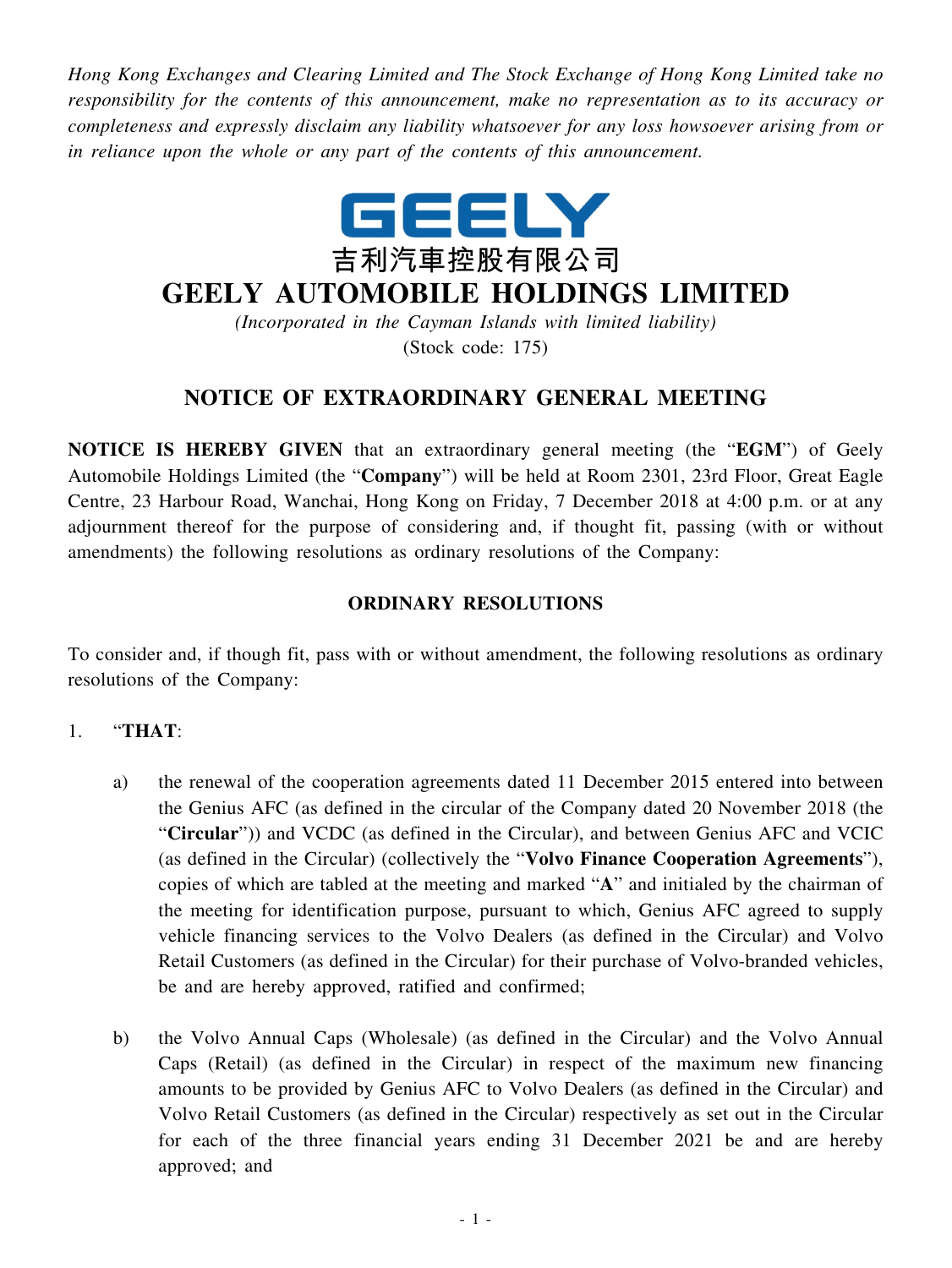*Hong Kong Exchanges and Clearing Limited and The Stock Exchange of Hong Kong Limited take no responsibility for the contents of this announcement, make no representation as to its accuracy or completeness and expressly disclaim any liability whatsoever for any loss howsoever arising from or in reliance upon the whole or any part of the contents of this announcement.*



# **GEELY AUTOMOBILE HOLDINGS LIMITED**

*(Incorporated in the Cayman Islands with limited liability)* (Stock code: 175)

## **NOTICE OF EXTRAORDINARY GENERAL MEETING**

**NOTICE IS HEREBY GIVEN** that an extraordinary general meeting (the "**EGM**") of Geely Automobile Holdings Limited (the "**Company**") will be held at Room 2301, 23rd Floor, Great Eagle Centre, 23 Harbour Road, Wanchai, Hong Kong on Friday, 7 December 2018 at 4:00 p.m. or at any adjournment thereof for the purpose of considering and, if thought fit, passing (with or without amendments) the following resolutions as ordinary resolutions of the Company:

#### **ORDINARY RESOLUTIONS**

To consider and, if though fit, pass with or without amendment, the following resolutions as ordinary resolutions of the Company:

#### 1. "**THAT**:

- a) the renewal of the cooperation agreements dated 11 December 2015 entered into between the Genius AFC (as defined in the circular of the Company dated 20 November 2018 (the "**Circular**")) and VCDC (as defined in the Circular), and between Genius AFC and VCIC (as defined in the Circular) (collectively the "**Volvo Finance Cooperation Agreements**"), copies of which are tabled at the meeting and marked "**A**" and initialed by the chairman of the meeting for identification purpose, pursuant to which, Genius AFC agreed to supply vehicle financing services to the Volvo Dealers (as defined in the Circular) and Volvo Retail Customers (as defined in the Circular) for their purchase of Volvo-branded vehicles, be and are hereby approved, ratified and confirmed;
- b) the Volvo Annual Caps (Wholesale) (as defined in the Circular) and the Volvo Annual Caps (Retail) (as defined in the Circular) in respect of the maximum new financing amounts to be provided by Genius AFC to Volvo Dealers (as defined in the Circular) and Volvo Retail Customers (as defined in the Circular) respectively as set out in the Circular for each of the three financial years ending 31 December 2021 be and are hereby approved; and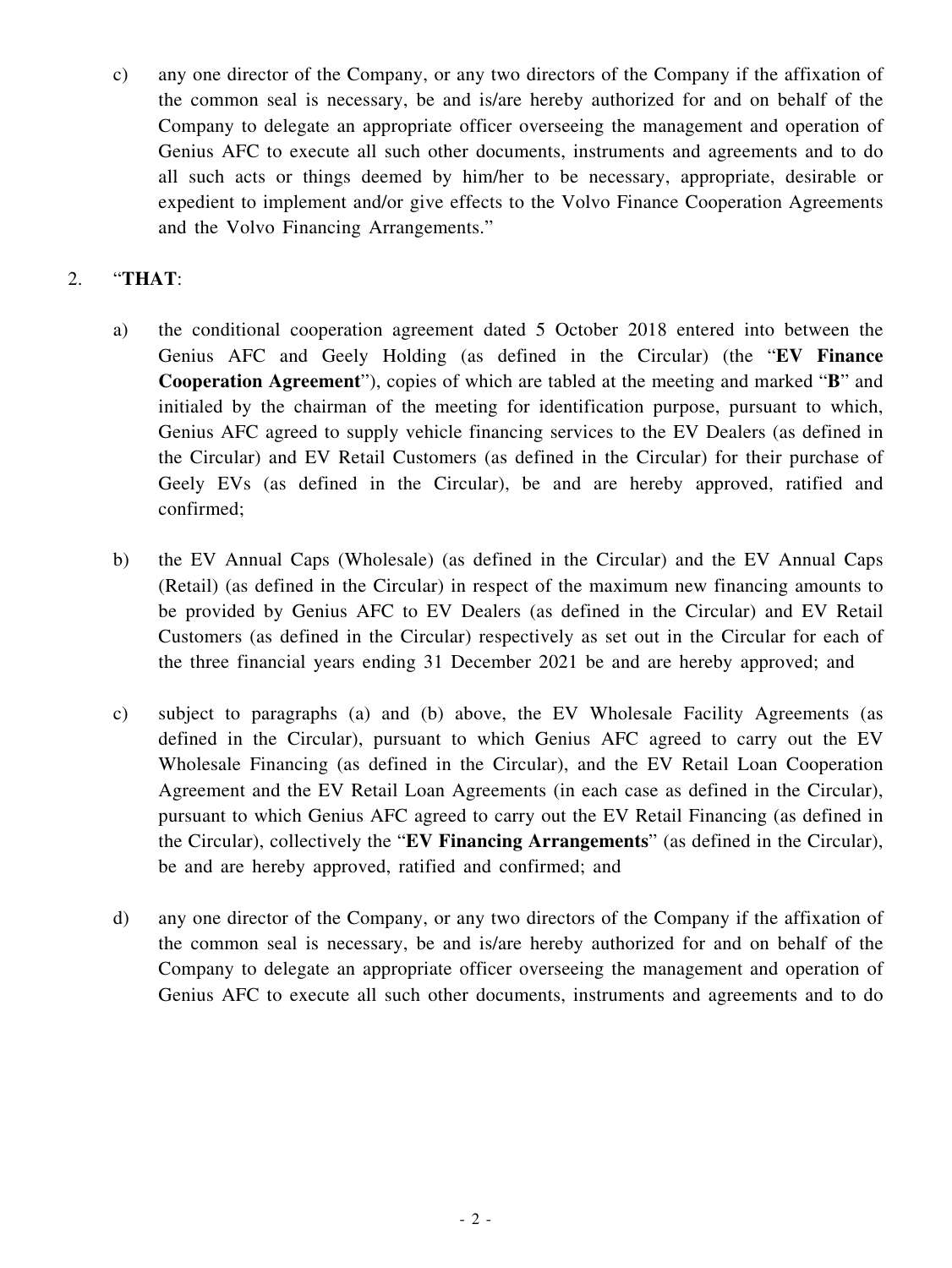c) any one director of the Company, or any two directors of the Company if the affixation of the common seal is necessary, be and is/are hereby authorized for and on behalf of the Company to delegate an appropriate officer overseeing the management and operation of Genius AFC to execute all such other documents, instruments and agreements and to do all such acts or things deemed by him/her to be necessary, appropriate, desirable or expedient to implement and/or give effects to the Volvo Finance Cooperation Agreements and the Volvo Financing Arrangements."

### 2. "**THAT**:

- a) the conditional cooperation agreement dated 5 October 2018 entered into between the Genius AFC and Geely Holding (as defined in the Circular) (the "**EV Finance Cooperation Agreement**"), copies of which are tabled at the meeting and marked "**B**" and initialed by the chairman of the meeting for identification purpose, pursuant to which, Genius AFC agreed to supply vehicle financing services to the EV Dealers (as defined in the Circular) and EV Retail Customers (as defined in the Circular) for their purchase of Geely EVs (as defined in the Circular), be and are hereby approved, ratified and confirmed;
- b) the EV Annual Caps (Wholesale) (as defined in the Circular) and the EV Annual Caps (Retail) (as defined in the Circular) in respect of the maximum new financing amounts to be provided by Genius AFC to EV Dealers (as defined in the Circular) and EV Retail Customers (as defined in the Circular) respectively as set out in the Circular for each of the three financial years ending 31 December 2021 be and are hereby approved; and
- c) subject to paragraphs (a) and (b) above, the EV Wholesale Facility Agreements (as defined in the Circular), pursuant to which Genius AFC agreed to carry out the EV Wholesale Financing (as defined in the Circular), and the EV Retail Loan Cooperation Agreement and the EV Retail Loan Agreements (in each case as defined in the Circular), pursuant to which Genius AFC agreed to carry out the EV Retail Financing (as defined in the Circular), collectively the "**EV Financing Arrangements**" (as defined in the Circular), be and are hereby approved, ratified and confirmed; and
- d) any one director of the Company, or any two directors of the Company if the affixation of the common seal is necessary, be and is/are hereby authorized for and on behalf of the Company to delegate an appropriate officer overseeing the management and operation of Genius AFC to execute all such other documents, instruments and agreements and to do